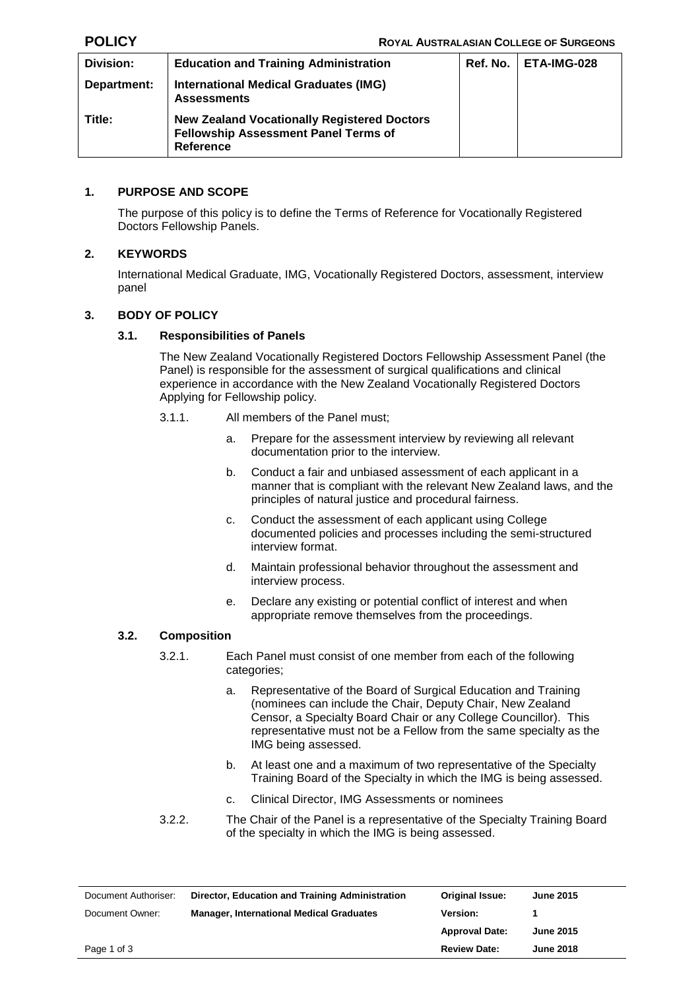| Division:   | <b>Education and Training Administration</b>                                                                   | Ref. No. | l ETA-IMG-028 |
|-------------|----------------------------------------------------------------------------------------------------------------|----------|---------------|
| Department: | <b>International Medical Graduates (IMG)</b><br><b>Assessments</b>                                             |          |               |
| Title:      | <b>New Zealand Vocationally Registered Doctors</b><br>Fellowship Assessment Panel Terms of<br><b>Reference</b> |          |               |

### **1. PURPOSE AND SCOPE**

The purpose of this policy is to define the Terms of Reference for Vocationally Registered Doctors Fellowship Panels.

# **2. KEYWORDS**

International Medical Graduate, IMG, Vocationally Registered Doctors, assessment, interview panel

### **3. BODY OF POLICY**

### **3.1. Responsibilities of Panels**

The New Zealand Vocationally Registered Doctors Fellowship Assessment Panel (the Panel) is responsible for the assessment of surgical qualifications and clinical experience in accordance with the New Zealand Vocationally Registered Doctors Applying for Fellowship policy.

- 3.1.1. All members of the Panel must;
	- a. Prepare for the assessment interview by reviewing all relevant documentation prior to the interview.
	- b. Conduct a fair and unbiased assessment of each applicant in a manner that is compliant with the relevant New Zealand laws, and the principles of natural justice and procedural fairness.
	- c. Conduct the assessment of each applicant using College documented policies and processes including the semi-structured interview format.
	- d. Maintain professional behavior throughout the assessment and interview process.
	- e. Declare any existing or potential conflict of interest and when appropriate remove themselves from the proceedings.

### **3.2. Composition**

- 3.2.1. Each Panel must consist of one member from each of the following categories;
	- a. Representative of the Board of Surgical Education and Training (nominees can include the Chair, Deputy Chair, New Zealand Censor, a Specialty Board Chair or any College Councillor). This representative must not be a Fellow from the same specialty as the IMG being assessed.
	- b. At least one and a maximum of two representative of the Specialty Training Board of the Specialty in which the IMG is being assessed.
	- c. Clinical Director, IMG Assessments or nominees
- 3.2.2. The Chair of the Panel is a representative of the Specialty Training Board of the specialty in which the IMG is being assessed.

| Document Authoriser: | Director, Education and Training Administration | Original Issue:       | <b>June 2015</b> |
|----------------------|-------------------------------------------------|-----------------------|------------------|
| Document Owner:      | <b>Manager, International Medical Graduates</b> | <b>Version:</b>       |                  |
|                      |                                                 | <b>Approval Date:</b> | <b>June 2015</b> |
| Page 1 of 3          |                                                 | <b>Review Date:</b>   | <b>June 2018</b> |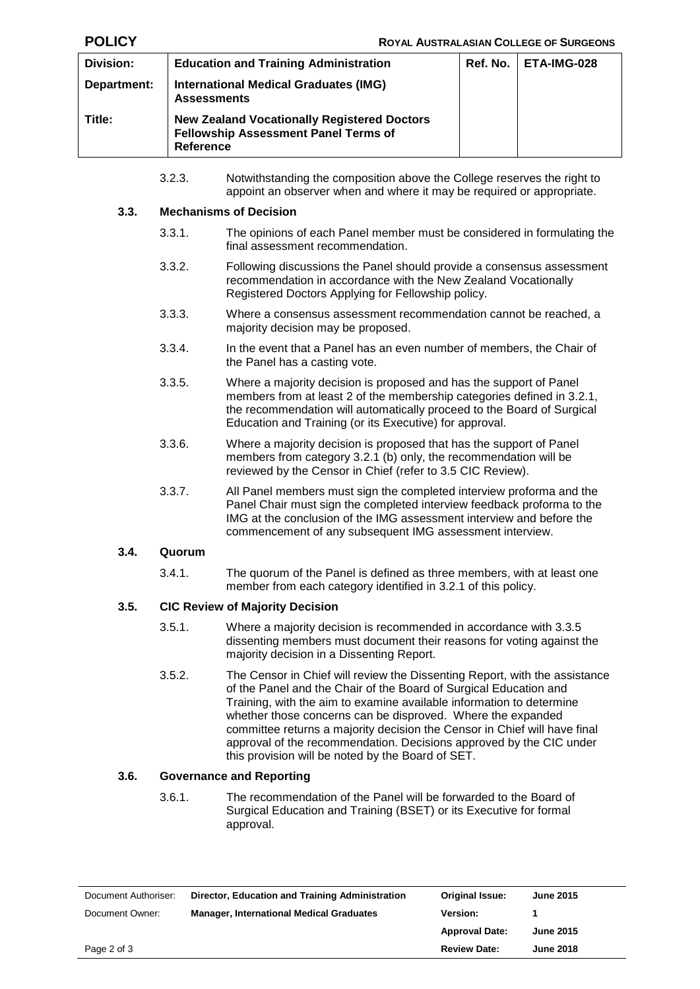| Division:   | <b>Education and Training Administration</b>                                                                          | $Ref. No.$   $ETA-IMG-028$ |
|-------------|-----------------------------------------------------------------------------------------------------------------------|----------------------------|
| Department: | <b>International Medical Graduates (IMG)</b><br><b>Assessments</b>                                                    |                            |
| Title:      | <b>New Zealand Vocationally Registered Doctors</b><br><b>Fellowship Assessment Panel Terms of</b><br><b>Reference</b> |                            |

3.2.3. Notwithstanding the composition above the College reserves the right to appoint an observer when and where it may be required or appropriate.

### **3.3. Mechanisms of Decision**

- 3.3.1. The opinions of each Panel member must be considered in formulating the final assessment recommendation.
- 3.3.2. Following discussions the Panel should provide a consensus assessment recommendation in accordance with the New Zealand Vocationally Registered Doctors Applying for Fellowship policy.
- 3.3.3. Where a consensus assessment recommendation cannot be reached, a majority decision may be proposed.
- 3.3.4. In the event that a Panel has an even number of members, the Chair of the Panel has a casting vote.
- 3.3.5. Where a majority decision is proposed and has the support of Panel members from at least 2 of the membership categories defined in 3.2.1, the recommendation will automatically proceed to the Board of Surgical Education and Training (or its Executive) for approval.
- 3.3.6. Where a majority decision is proposed that has the support of Panel members from category 3.2.1 (b) only, the recommendation will be reviewed by the Censor in Chief (refer to 3.5 CIC Review).
- 3.3.7. All Panel members must sign the completed interview proforma and the Panel Chair must sign the completed interview feedback proforma to the IMG at the conclusion of the IMG assessment interview and before the commencement of any subsequent IMG assessment interview.

### **3.4. Quorum**

3.4.1. The quorum of the Panel is defined as three members, with at least one member from each category identified in 3.2.1 of this policy.

# **3.5. CIC Review of Majority Decision**

- 3.5.1. Where a majority decision is recommended in accordance with 3.3.5 dissenting members must document their reasons for voting against the majority decision in a Dissenting Report.
- 3.5.2. The Censor in Chief will review the Dissenting Report, with the assistance of the Panel and the Chair of the Board of Surgical Education and Training, with the aim to examine available information to determine whether those concerns can be disproved. Where the expanded committee returns a majority decision the Censor in Chief will have final approval of the recommendation. Decisions approved by the CIC under this provision will be noted by the Board of SET.

# **3.6. Governance and Reporting**

3.6.1. The recommendation of the Panel will be forwarded to the Board of Surgical Education and Training (BSET) or its Executive for formal approval.

| Document Authoriser: | Director, Education and Training Administration | Original Issue:       | <b>June 2015</b> |
|----------------------|-------------------------------------------------|-----------------------|------------------|
| Document Owner:      | <b>Manager, International Medical Graduates</b> | <b>Version:</b>       |                  |
|                      |                                                 | <b>Approval Date:</b> | <b>June 2015</b> |
| Page 2 of 3          |                                                 | <b>Review Date:</b>   | <b>June 2018</b> |